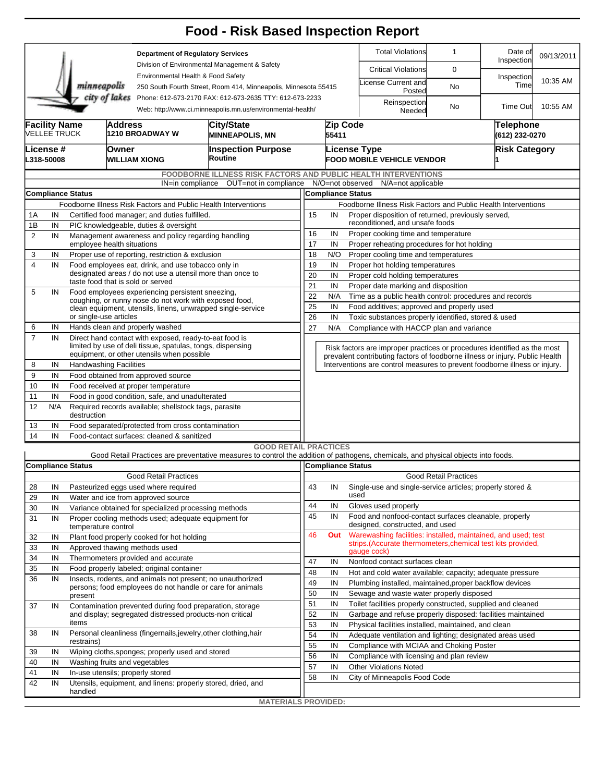|                                                                                                                                        |                                                                                                         |                                                      |                                                                                                         |                                                                                                                      | <b>Food - Risk Based Inspection Report</b>                                                                                        |                                                                                                   |                                                                                  |                              |                                                                                                     |                              |                             |            |  |  |  |  |
|----------------------------------------------------------------------------------------------------------------------------------------|---------------------------------------------------------------------------------------------------------|------------------------------------------------------|---------------------------------------------------------------------------------------------------------|----------------------------------------------------------------------------------------------------------------------|-----------------------------------------------------------------------------------------------------------------------------------|---------------------------------------------------------------------------------------------------|----------------------------------------------------------------------------------|------------------------------|-----------------------------------------------------------------------------------------------------|------------------------------|-----------------------------|------------|--|--|--|--|
|                                                                                                                                        |                                                                                                         |                                                      |                                                                                                         | <b>Department of Regulatory Services</b>                                                                             |                                                                                                                                   |                                                                                                   |                                                                                  |                              | <b>Total Violations</b>                                                                             | $\mathbf{1}$                 | Date of<br>Inspection       | 09/13/2011 |  |  |  |  |
|                                                                                                                                        |                                                                                                         |                                                      |                                                                                                         | Division of Environmental Management & Safety<br>Environmental Health & Food Safety                                  |                                                                                                                                   |                                                                                                   |                                                                                  |                              | <b>Critical Violations</b>                                                                          | $\mathbf 0$                  |                             |            |  |  |  |  |
|                                                                                                                                        |                                                                                                         | minneapolis                                          |                                                                                                         | 250 South Fourth Street, Room 414, Minneapolis, Minnesota 55415                                                      |                                                                                                                                   |                                                                                                   |                                                                                  | icense Current and<br>Posted | No                                                                                                  | Inspection<br>Time           | 10:35 AM                    |            |  |  |  |  |
| city of lakes<br>Phone: 612-673-2170 FAX: 612-673-2635 TTY: 612-673-2233<br>Web: http://www.ci.minneapolis.mn.us/environmental-health/ |                                                                                                         |                                                      |                                                                                                         |                                                                                                                      |                                                                                                                                   |                                                                                                   |                                                                                  |                              | Reinspection<br>Needed                                                                              | No                           | Time Out                    | 10:55 AM   |  |  |  |  |
|                                                                                                                                        | <b>Facility Name</b><br><b>VELLEE TRUCK</b>                                                             |                                                      | <b>Address</b>                                                                                          | 1210 BROADWAY W                                                                                                      | City/State<br><b>MINNEAPOLIS, MN</b>                                                                                              |                                                                                                   | Zip Code<br>55411                                                                |                              |                                                                                                     |                              | Telephone<br>(612) 232-0270 |            |  |  |  |  |
|                                                                                                                                        | License #<br>L318-50008                                                                                 | Owner                                                |                                                                                                         | WILLIAM XIONG                                                                                                        | <b>Inspection Purpose</b><br>Routine                                                                                              |                                                                                                   | <b>License Type</b><br><b>Risk Category</b><br><b>FOOD MOBILE VEHICLE VENDOR</b> |                              |                                                                                                     |                              |                             |            |  |  |  |  |
|                                                                                                                                        |                                                                                                         |                                                      |                                                                                                         |                                                                                                                      | <b>FOODBORNE ILLNESS RISK FACTORS AND PUBLIC HEALTH INTERVENTIONS</b>                                                             |                                                                                                   |                                                                                  |                              |                                                                                                     |                              |                             |            |  |  |  |  |
|                                                                                                                                        |                                                                                                         |                                                      |                                                                                                         |                                                                                                                      | IN=in compliance OUT=not in compliance                                                                                            |                                                                                                   |                                                                                  |                              | N/O=not observed N/A=not applicable                                                                 |                              |                             |            |  |  |  |  |
| <b>Compliance Status</b>                                                                                                               |                                                                                                         |                                                      |                                                                                                         |                                                                                                                      |                                                                                                                                   |                                                                                                   |                                                                                  | <b>Compliance Status</b>     |                                                                                                     |                              |                             |            |  |  |  |  |
| Foodborne Illness Risk Factors and Public Health Interventions<br>Certified food manager; and duties fulfilled.                        |                                                                                                         |                                                      |                                                                                                         |                                                                                                                      |                                                                                                                                   |                                                                                                   | Foodborne Illness Risk Factors and Public Health Interventions                   |                              |                                                                                                     |                              |                             |            |  |  |  |  |
| 1A<br>1B                                                                                                                               | IN                                                                                                      |                                                      |                                                                                                         |                                                                                                                      |                                                                                                                                   | 15<br>Proper disposition of returned, previously served,<br>IN<br>reconditioned, and unsafe foods |                                                                                  |                              |                                                                                                     |                              |                             |            |  |  |  |  |
| $\overline{2}$                                                                                                                         | IN<br>PIC knowledgeable, duties & oversight<br>IN<br>Management awareness and policy regarding handling |                                                      |                                                                                                         |                                                                                                                      |                                                                                                                                   |                                                                                                   | 16<br>IN<br>Proper cooking time and temperature                                  |                              |                                                                                                     |                              |                             |            |  |  |  |  |
|                                                                                                                                        |                                                                                                         |                                                      | employee health situations                                                                              |                                                                                                                      |                                                                                                                                   |                                                                                                   |                                                                                  |                              | 17<br>IN<br>Proper reheating procedures for hot holding                                             |                              |                             |            |  |  |  |  |
| 3                                                                                                                                      | IN                                                                                                      |                                                      | Proper use of reporting, restriction & exclusion                                                        |                                                                                                                      | 18<br>N/O<br>Proper cooling time and temperatures                                                                                 |                                                                                                   |                                                                                  |                              |                                                                                                     |                              |                             |            |  |  |  |  |
| 4                                                                                                                                      | IN                                                                                                      |                                                      |                                                                                                         | Food employees eat, drink, and use tobacco only in                                                                   |                                                                                                                                   | 19<br>IN<br>Proper hot holding temperatures                                                       |                                                                                  |                              |                                                                                                     |                              |                             |            |  |  |  |  |
|                                                                                                                                        |                                                                                                         |                                                      | designated areas / do not use a utensil more than once to<br>taste food that is sold or served          |                                                                                                                      | 20<br>IN<br>Proper cold holding temperatures                                                                                      |                                                                                                   |                                                                                  |                              |                                                                                                     |                              |                             |            |  |  |  |  |
| 5                                                                                                                                      | IN                                                                                                      |                                                      | Food employees experiencing persistent sneezing,                                                        |                                                                                                                      | 21<br>Proper date marking and disposition<br>IN<br>Time as a public health control: procedures and records                        |                                                                                                   |                                                                                  |                              |                                                                                                     |                              |                             |            |  |  |  |  |
|                                                                                                                                        |                                                                                                         |                                                      |                                                                                                         | coughing, or runny nose do not work with exposed food,                                                               |                                                                                                                                   | 22<br>25                                                                                          | N/A<br>IN                                                                        |                              |                                                                                                     |                              |                             |            |  |  |  |  |
|                                                                                                                                        |                                                                                                         | or single-use articles                               |                                                                                                         |                                                                                                                      | clean equipment, utensils, linens, unwrapped single-service                                                                       | 26                                                                                                | IN                                                                               |                              | Food additives; approved and properly used                                                          |                              |                             |            |  |  |  |  |
| 6                                                                                                                                      | IN                                                                                                      |                                                      |                                                                                                         | Hands clean and properly washed                                                                                      | Toxic substances properly identified, stored & used<br>27<br>N/A<br>Compliance with HACCP plan and variance                       |                                                                                                   |                                                                                  |                              |                                                                                                     |                              |                             |            |  |  |  |  |
| $\overline{7}$                                                                                                                         | IN                                                                                                      |                                                      |                                                                                                         | Direct hand contact with exposed, ready-to-eat food is                                                               |                                                                                                                                   |                                                                                                   |                                                                                  |                              |                                                                                                     |                              |                             |            |  |  |  |  |
|                                                                                                                                        |                                                                                                         |                                                      |                                                                                                         | limited by use of deli tissue, spatulas, tongs, dispensing                                                           |                                                                                                                                   |                                                                                                   |                                                                                  |                              | Risk factors are improper practices or procedures identified as the most                            |                              |                             |            |  |  |  |  |
| equipment, or other utensils when possible                                                                                             |                                                                                                         |                                                      |                                                                                                         |                                                                                                                      |                                                                                                                                   |                                                                                                   |                                                                                  |                              | prevalent contributing factors of foodborne illness or injury. Public Health                        |                              |                             |            |  |  |  |  |
| 8                                                                                                                                      | IN                                                                                                      | <b>Handwashing Facilities</b>                        |                                                                                                         |                                                                                                                      |                                                                                                                                   |                                                                                                   |                                                                                  |                              | Interventions are control measures to prevent foodborne illness or injury.                          |                              |                             |            |  |  |  |  |
| 9                                                                                                                                      | IN                                                                                                      |                                                      |                                                                                                         | Food obtained from approved source                                                                                   |                                                                                                                                   |                                                                                                   |                                                                                  |                              |                                                                                                     |                              |                             |            |  |  |  |  |
| 10<br>11                                                                                                                               | IN<br>IN                                                                                                |                                                      |                                                                                                         | Food received at proper temperature<br>Food in good condition, safe, and unadulterated                               |                                                                                                                                   |                                                                                                   |                                                                                  |                              |                                                                                                     |                              |                             |            |  |  |  |  |
| 12                                                                                                                                     | N/A                                                                                                     |                                                      |                                                                                                         | Required records available; shellstock tags, parasite                                                                |                                                                                                                                   |                                                                                                   |                                                                                  |                              |                                                                                                     |                              |                             |            |  |  |  |  |
|                                                                                                                                        |                                                                                                         | destruction                                          |                                                                                                         |                                                                                                                      |                                                                                                                                   |                                                                                                   |                                                                                  |                              |                                                                                                     |                              |                             |            |  |  |  |  |
| 13                                                                                                                                     | IN                                                                                                      |                                                      |                                                                                                         | Food separated/protected from cross contamination                                                                    |                                                                                                                                   |                                                                                                   |                                                                                  |                              |                                                                                                     |                              |                             |            |  |  |  |  |
| 14                                                                                                                                     | IN                                                                                                      |                                                      |                                                                                                         | Food-contact surfaces: cleaned & sanitized                                                                           |                                                                                                                                   |                                                                                                   |                                                                                  |                              |                                                                                                     |                              |                             |            |  |  |  |  |
|                                                                                                                                        |                                                                                                         |                                                      |                                                                                                         |                                                                                                                      | <b>GOOD RETAIL PRACTICES</b>                                                                                                      |                                                                                                   |                                                                                  |                              |                                                                                                     |                              |                             |            |  |  |  |  |
|                                                                                                                                        |                                                                                                         |                                                      |                                                                                                         |                                                                                                                      | Good Retail Practices are preventative measures to control the addition of pathogens, chemicals, and physical objects into foods. |                                                                                                   | Compliance Status                                                                |                              |                                                                                                     |                              |                             |            |  |  |  |  |
| <b>Compliance Status</b><br><b>Good Retail Practices</b>                                                                               |                                                                                                         |                                                      |                                                                                                         |                                                                                                                      |                                                                                                                                   |                                                                                                   |                                                                                  |                              |                                                                                                     | <b>Good Retail Practices</b> |                             |            |  |  |  |  |
| 28                                                                                                                                     | IN                                                                                                      |                                                      |                                                                                                         | Pasteurized eggs used where required                                                                                 |                                                                                                                                   | 43                                                                                                | IN                                                                               |                              | Single-use and single-service articles; properly stored &                                           |                              |                             |            |  |  |  |  |
| 29                                                                                                                                     | IN                                                                                                      |                                                      | Water and ice from approved source                                                                      |                                                                                                                      |                                                                                                                                   |                                                                                                   | used                                                                             |                              |                                                                                                     |                              |                             |            |  |  |  |  |
| 30                                                                                                                                     | IN                                                                                                      | Variance obtained for specialized processing methods |                                                                                                         |                                                                                                                      |                                                                                                                                   |                                                                                                   | IN                                                                               |                              | Gloves used properly                                                                                |                              |                             |            |  |  |  |  |
| 31                                                                                                                                     | IN                                                                                                      |                                                      | Proper cooling methods used; adequate equipment for                                                     |                                                                                                                      |                                                                                                                                   |                                                                                                   | IN                                                                               |                              | Food and nonfood-contact surfaces cleanable, properly<br>designed, constructed, and used            |                              |                             |            |  |  |  |  |
|                                                                                                                                        |                                                                                                         | temperature control                                  |                                                                                                         |                                                                                                                      |                                                                                                                                   | 46                                                                                                | Out                                                                              |                              | Warewashing facilities: installed, maintained, and used; test                                       |                              |                             |            |  |  |  |  |
| 32<br>33                                                                                                                               | IN<br>IN                                                                                                |                                                      |                                                                                                         | Plant food properly cooked for hot holding<br>Approved thawing methods used                                          |                                                                                                                                   |                                                                                                   |                                                                                  |                              | strips. (Accurate thermometers, chemical test kits provided,                                        |                              |                             |            |  |  |  |  |
| 34                                                                                                                                     | IN                                                                                                      |                                                      |                                                                                                         | Thermometers provided and accurate                                                                                   |                                                                                                                                   |                                                                                                   |                                                                                  |                              | gauge cock)                                                                                         |                              |                             |            |  |  |  |  |
| 35                                                                                                                                     | IN                                                                                                      |                                                      |                                                                                                         |                                                                                                                      |                                                                                                                                   | 47<br>48                                                                                          | IN<br>IN                                                                         |                              | Nonfood contact surfaces clean                                                                      |                              |                             |            |  |  |  |  |
| 36                                                                                                                                     | IN                                                                                                      |                                                      | Food properly labeled; original container<br>Insects, rodents, and animals not present; no unauthorized |                                                                                                                      |                                                                                                                                   |                                                                                                   |                                                                                  |                              | Hot and cold water available; capacity; adequate pressure                                           |                              |                             |            |  |  |  |  |
|                                                                                                                                        |                                                                                                         |                                                      |                                                                                                         |                                                                                                                      | persons; food employees do not handle or care for animals                                                                         | 49                                                                                                | IN                                                                               |                              | Plumbing installed, maintained, proper backflow devices<br>Sewage and waste water properly disposed |                              |                             |            |  |  |  |  |
|                                                                                                                                        |                                                                                                         | present                                              |                                                                                                         |                                                                                                                      |                                                                                                                                   | 50<br>51                                                                                          | IN<br>IN                                                                         |                              | Toilet facilities properly constructed, supplied and cleaned                                        |                              |                             |            |  |  |  |  |
| 37                                                                                                                                     | IN                                                                                                      |                                                      |                                                                                                         | Contamination prevented during food preparation, storage<br>and display; segregated distressed products-non critical |                                                                                                                                   | 52                                                                                                | IN                                                                               |                              | Garbage and refuse properly disposed: facilities maintained                                         |                              |                             |            |  |  |  |  |
|                                                                                                                                        |                                                                                                         | items                                                |                                                                                                         |                                                                                                                      |                                                                                                                                   | 53                                                                                                | IN                                                                               |                              | Physical facilities installed, maintained, and clean                                                |                              |                             |            |  |  |  |  |
| 38                                                                                                                                     | IN                                                                                                      |                                                      |                                                                                                         |                                                                                                                      | Personal cleanliness (fingernails, jewelry, other clothing, hair                                                                  | 54                                                                                                | IN                                                                               |                              | Adequate ventilation and lighting; designated areas used                                            |                              |                             |            |  |  |  |  |
|                                                                                                                                        |                                                                                                         | restrains)                                           |                                                                                                         |                                                                                                                      |                                                                                                                                   | 55                                                                                                | IN                                                                               |                              | Compliance with MCIAA and Choking Poster                                                            |                              |                             |            |  |  |  |  |
| 39                                                                                                                                     | IN                                                                                                      |                                                      | Wiping cloths, sponges; properly used and stored                                                        |                                                                                                                      |                                                                                                                                   |                                                                                                   |                                                                                  |                              | Compliance with licensing and plan review                                                           |                              |                             |            |  |  |  |  |
| 40                                                                                                                                     | IN                                                                                                      |                                                      | Washing fruits and vegetables                                                                           |                                                                                                                      |                                                                                                                                   |                                                                                                   |                                                                                  |                              | <b>Other Violations Noted</b>                                                                       |                              |                             |            |  |  |  |  |
| 41                                                                                                                                     | IN                                                                                                      |                                                      |                                                                                                         | In-use utensils; properly stored                                                                                     |                                                                                                                                   | 58                                                                                                | IN                                                                               |                              | City of Minneapolis Food Code                                                                       |                              |                             |            |  |  |  |  |
| 42                                                                                                                                     | IN                                                                                                      | handled                                              |                                                                                                         |                                                                                                                      | Utensils, equipment, and linens: properly stored, dried, and                                                                      |                                                                                                   |                                                                                  |                              |                                                                                                     |                              |                             |            |  |  |  |  |
|                                                                                                                                        |                                                                                                         |                                                      |                                                                                                         |                                                                                                                      | <b>MATERIALS PROVIDED:</b>                                                                                                        |                                                                                                   |                                                                                  |                              |                                                                                                     |                              |                             |            |  |  |  |  |